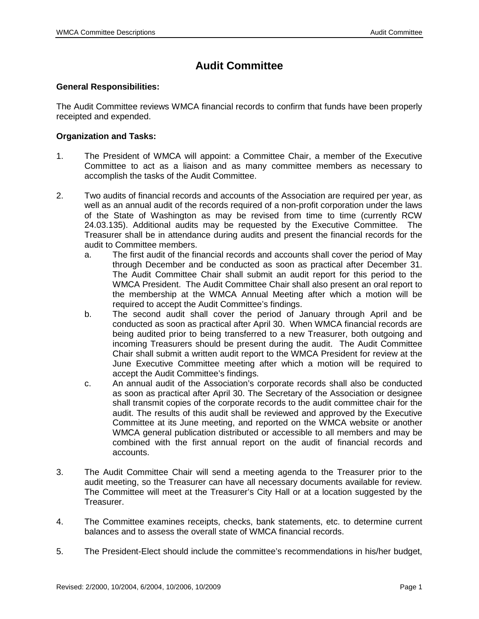## **Audit Committee**

## **General Responsibilities:**

The Audit Committee reviews WMCA financial records to confirm that funds have been properly receipted and expended.

## **Organization and Tasks:**

- 1. The President of WMCA will appoint: a Committee Chair, a member of the Executive Committee to act as a liaison and as many committee members as necessary to accomplish the tasks of the Audit Committee.
- 2. Two audits of financial records and accounts of the Association are required per year, as well as an annual audit of the records required of a non-profit corporation under the laws of the State of Washington as may be revised from time to time (currently RCW 24.03.135). Additional audits may be requested by the Executive Committee. The Treasurer shall be in attendance during audits and present the financial records for the audit to Committee members.
	- a. The first audit of the financial records and accounts shall cover the period of May through December and be conducted as soon as practical after December 31. The Audit Committee Chair shall submit an audit report for this period to the WMCA President. The Audit Committee Chair shall also present an oral report to the membership at the WMCA Annual Meeting after which a motion will be required to accept the Audit Committee's findings.
	- b. The second audit shall cover the period of January through April and be conducted as soon as practical after April 30. When WMCA financial records are being audited prior to being transferred to a new Treasurer, both outgoing and incoming Treasurers should be present during the audit. The Audit Committee Chair shall submit a written audit report to the WMCA President for review at the June Executive Committee meeting after which a motion will be required to accept the Audit Committee's findings.
	- c. An annual audit of the Association's corporate records shall also be conducted as soon as practical after April 30. The Secretary of the Association or designee shall transmit copies of the corporate records to the audit committee chair for the audit. The results of this audit shall be reviewed and approved by the Executive Committee at its June meeting, and reported on the WMCA website or another WMCA general publication distributed or accessible to all members and may be combined with the first annual report on the audit of financial records and accounts.
- 3. The Audit Committee Chair will send a meeting agenda to the Treasurer prior to the audit meeting, so the Treasurer can have all necessary documents available for review. The Committee will meet at the Treasurer's City Hall or at a location suggested by the Treasurer.
- 4. The Committee examines receipts, checks, bank statements, etc. to determine current balances and to assess the overall state of WMCA financial records.
- 5. The President-Elect should include the committee's recommendations in his/her budget,